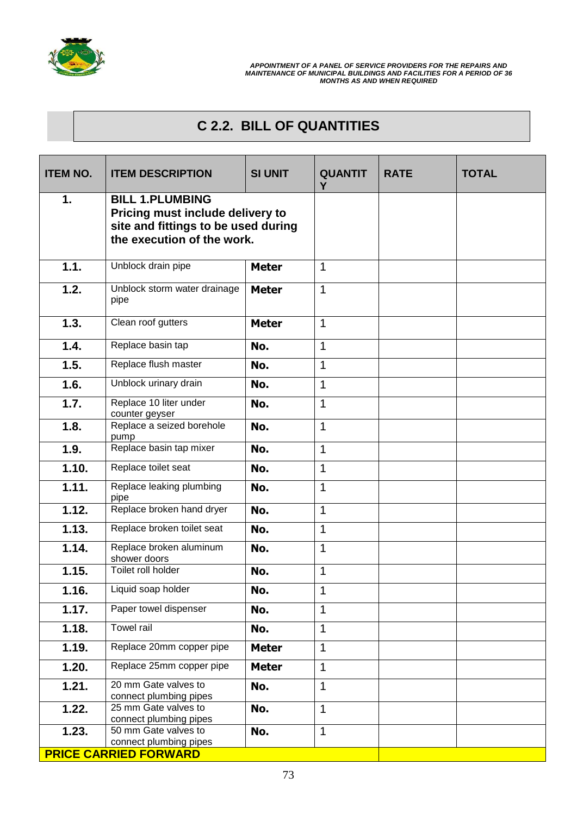

## **C 2.2. BILL OF QUANTITIES**

| <b>ITEM NO.</b> | <b>ITEM DESCRIPTION</b>                                                                                                         | <b>SI UNIT</b> | <b>QUANTIT</b><br>Y | <b>RATE</b> | <b>TOTAL</b> |
|-----------------|---------------------------------------------------------------------------------------------------------------------------------|----------------|---------------------|-------------|--------------|
| 1.              | <b>BILL 1.PLUMBING</b><br>Pricing must include delivery to<br>site and fittings to be used during<br>the execution of the work. |                |                     |             |              |
| 1.1.            | Unblock drain pipe                                                                                                              | <b>Meter</b>   | $\mathbf{1}$        |             |              |
| 1.2.            | Unblock storm water drainage<br>pipe                                                                                            | <b>Meter</b>   | $\mathbf 1$         |             |              |
| 1.3.            | Clean roof gutters                                                                                                              | <b>Meter</b>   | $\mathbf{1}$        |             |              |
| 1.4.            | Replace basin tap                                                                                                               | No.            | $\mathbf{1}$        |             |              |
| 1.5.            | Replace flush master                                                                                                            | No.            | 1                   |             |              |
| 1.6.            | Unblock urinary drain                                                                                                           | No.            | $\mathbf{1}$        |             |              |
| 1.7.            | Replace 10 liter under<br>counter geyser                                                                                        | No.            | $\mathbf 1$         |             |              |
| 1.8.            | Replace a seized borehole<br>pump                                                                                               | No.            | $\mathbf{1}$        |             |              |
| 1.9.            | Replace basin tap mixer                                                                                                         | No.            | $\mathbf{1}$        |             |              |
| 1.10.           | Replace toilet seat                                                                                                             | No.            | $\mathbf{1}$        |             |              |
| 1.11.           | Replace leaking plumbing<br>pipe                                                                                                | No.            | 1                   |             |              |
| 1.12.           | Replace broken hand dryer                                                                                                       | No.            | 1                   |             |              |
| 1.13.           | Replace broken toilet seat                                                                                                      | No.            | $\mathbf{1}$        |             |              |
| 1.14.           | Replace broken aluminum<br>shower doors                                                                                         | No.            | $\mathbf{1}$        |             |              |
| 1.15.           | Toilet roll holder                                                                                                              | No.            | $\mathbf{1}$        |             |              |
| 1.16.           | Liquid soap holder                                                                                                              | No.            | $\mathbf{1}$        |             |              |
| 1.17.           | Paper towel dispenser                                                                                                           | No.            | $\mathbf 1$         |             |              |
| 1.18.           | Towel rail                                                                                                                      | No.            | $\mathbf{1}$        |             |              |
| 1.19.           | Replace 20mm copper pipe                                                                                                        | <b>Meter</b>   | $\mathbf{1}$        |             |              |
| 1.20.           | Replace 25mm copper pipe                                                                                                        | <b>Meter</b>   | $\mathbf{1}$        |             |              |
| 1.21.           | 20 mm Gate valves to<br>connect plumbing pipes                                                                                  | No.            | 1                   |             |              |
| 1.22.           | 25 mm Gate valves to<br>connect plumbing pipes                                                                                  | No.            | $\mathbf{1}$        |             |              |
| 1.23.           | 50 mm Gate valves to<br>connect plumbing pipes                                                                                  | No.            | 1                   |             |              |
|                 | <b>PRICE CARRIED FORWARD</b>                                                                                                    |                |                     |             |              |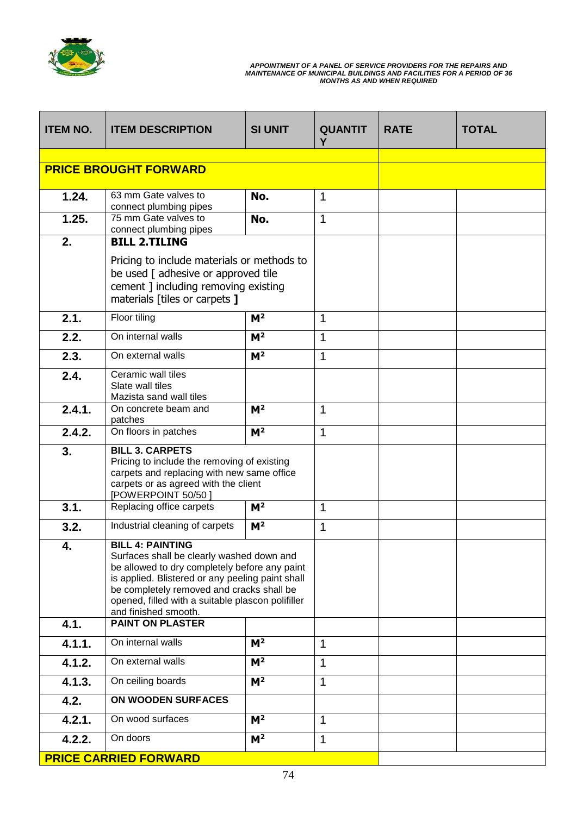

| <b>ITEM NO.</b> | <b>ITEM DESCRIPTION</b>                                                                                                                                                                                                                                                                             | <b>SI UNIT</b> | <b>QUANTIT</b><br>Y | <b>RATE</b> | <b>TOTAL</b> |
|-----------------|-----------------------------------------------------------------------------------------------------------------------------------------------------------------------------------------------------------------------------------------------------------------------------------------------------|----------------|---------------------|-------------|--------------|
|                 |                                                                                                                                                                                                                                                                                                     |                |                     |             |              |
|                 | <b>PRICE BROUGHT FORWARD</b>                                                                                                                                                                                                                                                                        |                |                     |             |              |
| 1.24.           | 63 mm Gate valves to                                                                                                                                                                                                                                                                                | No.            | 1                   |             |              |
| 1.25.           | connect plumbing pipes<br>75 mm Gate valves to                                                                                                                                                                                                                                                      | No.            | $\mathbf 1$         |             |              |
|                 | connect plumbing pipes                                                                                                                                                                                                                                                                              |                |                     |             |              |
| 2.              | <b>BILL 2.TILING</b>                                                                                                                                                                                                                                                                                |                |                     |             |              |
|                 | Pricing to include materials or methods to<br>be used [ adhesive or approved tile<br>cement ] including removing existing<br>materials [tiles or carpets ]                                                                                                                                          |                |                     |             |              |
| 2.1.            | Floor tiling                                                                                                                                                                                                                                                                                        | M <sup>2</sup> | 1                   |             |              |
| 2.2.            | On internal walls                                                                                                                                                                                                                                                                                   | M <sup>2</sup> | 1                   |             |              |
| 2.3.            | On external walls                                                                                                                                                                                                                                                                                   | M <sup>2</sup> | 1                   |             |              |
| 2.4.            | Ceramic wall tiles<br>Slate wall tiles<br>Mazista sand wall tiles                                                                                                                                                                                                                                   |                |                     |             |              |
| 2.4.1.          | On concrete beam and<br>patches                                                                                                                                                                                                                                                                     | M <sup>2</sup> | 1                   |             |              |
| 2.4.2.          | On floors in patches                                                                                                                                                                                                                                                                                | M <sup>2</sup> | 1                   |             |              |
| 3.              | <b>BILL 3. CARPETS</b><br>Pricing to include the removing of existing<br>carpets and replacing with new same office<br>carpets or as agreed with the client<br>[POWERPOINT 50/50]                                                                                                                   |                |                     |             |              |
| 3.1.            | Replacing office carpets                                                                                                                                                                                                                                                                            | M <sup>2</sup> | 1                   |             |              |
| 3.2.            | Industrial cleaning of carpets                                                                                                                                                                                                                                                                      | M <sup>2</sup> | $\mathbf{1}$        |             |              |
| 4.              | <b>BILL 4: PAINTING</b><br>Surfaces shall be clearly washed down and<br>be allowed to dry completely before any paint<br>is applied. Blistered or any peeling paint shall<br>be completely removed and cracks shall be<br>opened, filled with a suitable plascon polifiller<br>and finished smooth. |                |                     |             |              |
| 4.1.            | <b>PAINT ON PLASTER</b>                                                                                                                                                                                                                                                                             |                |                     |             |              |
| 4.1.1.          | On internal walls                                                                                                                                                                                                                                                                                   | M <sup>2</sup> | 1                   |             |              |
| 4.1.2.          | On external walls                                                                                                                                                                                                                                                                                   | M <sup>2</sup> | 1                   |             |              |
| 4.1.3.          | On ceiling boards                                                                                                                                                                                                                                                                                   | M <sup>2</sup> | 1                   |             |              |
| 4.2.            | ON WOODEN SURFACES                                                                                                                                                                                                                                                                                  |                |                     |             |              |
| 4.2.1.          | On wood surfaces                                                                                                                                                                                                                                                                                    | M <sup>2</sup> | 1                   |             |              |
| 4.2.2.          | On doors                                                                                                                                                                                                                                                                                            | M <sup>2</sup> | 1                   |             |              |
|                 | <b>PRICE CARRIED FORWARD</b>                                                                                                                                                                                                                                                                        |                |                     |             |              |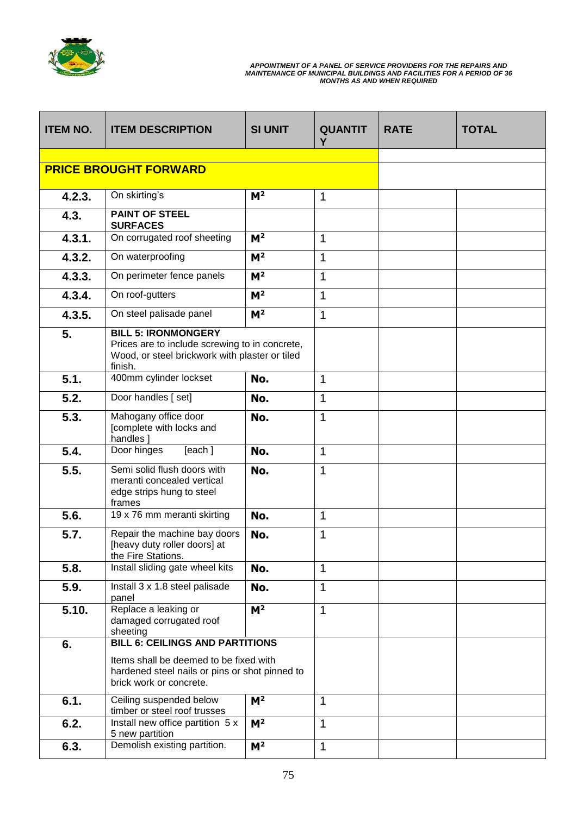

| <b>ITEM NO.</b> | <b>ITEM DESCRIPTION</b>                                                                                                                                       | <b>SI UNIT</b> | <b>QUANTIT</b><br>Y | <b>RATE</b> | <b>TOTAL</b> |
|-----------------|---------------------------------------------------------------------------------------------------------------------------------------------------------------|----------------|---------------------|-------------|--------------|
|                 |                                                                                                                                                               |                |                     |             |              |
|                 | <b>PRICE BROUGHT FORWARD</b>                                                                                                                                  |                |                     |             |              |
| 4.2.3.          | On skirting's                                                                                                                                                 | M <sup>2</sup> | $\mathbf{1}$        |             |              |
| 4.3.            | <b>PAINT OF STEEL</b><br><b>SURFACES</b>                                                                                                                      |                |                     |             |              |
| 4.3.1.          | On corrugated roof sheeting                                                                                                                                   | M <sup>2</sup> | 1                   |             |              |
| 4.3.2.          | On waterproofing                                                                                                                                              | M <sup>2</sup> | 1                   |             |              |
| 4.3.3.          | On perimeter fence panels                                                                                                                                     | M <sup>2</sup> | $\mathbf 1$         |             |              |
| 4.3.4.          | On roof-gutters                                                                                                                                               | M <sup>2</sup> | 1                   |             |              |
| 4.3.5.          | On steel palisade panel                                                                                                                                       | M <sup>2</sup> | 1                   |             |              |
| 5.              | <b>BILL 5: IRONMONGERY</b><br>Prices are to include screwing to in concrete,<br>Wood, or steel brickwork with plaster or tiled<br>finish.                     |                |                     |             |              |
| 5.1.            | 400mm cylinder lockset                                                                                                                                        | No.            | 1                   |             |              |
| 5.2.            | Door handles [set]                                                                                                                                            | No.            | 1                   |             |              |
| 5.3.            | Mahogany office door<br>[complete with locks and<br>handles <sup>1</sup>                                                                                      | No.            | 1                   |             |              |
| 5.4.            | Door hinges<br>[each]                                                                                                                                         | No.            | 1                   |             |              |
| 5.5.            | Semi solid flush doors with<br>meranti concealed vertical<br>edge strips hung to steel<br>frames                                                              | No.            | 1                   |             |              |
| 5.6.            | 19 x 76 mm meranti skirting                                                                                                                                   | No.            | $\mathbf 1$         |             |              |
| 5.7.            | Repair the machine bay doors<br>[heavy duty roller doors] at<br>the Fire Stations.                                                                            | No.            | 1                   |             |              |
| 5.8.            | Install sliding gate wheel kits                                                                                                                               | No.            | $\mathbf{1}$        |             |              |
| 5.9.            | Install 3 x 1.8 steel palisade<br>panel                                                                                                                       | No.            | 1                   |             |              |
| 5.10.           | Replace a leaking or<br>damaged corrugated roof<br>sheeting                                                                                                   | M <sup>2</sup> | $\mathbf{1}$        |             |              |
| 6.              | <b>BILL 6: CEILINGS AND PARTITIONS</b><br>Items shall be deemed to be fixed with<br>hardened steel nails or pins or shot pinned to<br>brick work or concrete. |                |                     |             |              |
| 6.1.            | Ceiling suspended below<br>timber or steel roof trusses                                                                                                       | M <sup>2</sup> | 1                   |             |              |
| 6.2.            | Install new office partition 5 x<br>5 new partition                                                                                                           | M <sup>2</sup> | 1                   |             |              |
| 6.3.            | Demolish existing partition.                                                                                                                                  | M <sup>2</sup> | 1                   |             |              |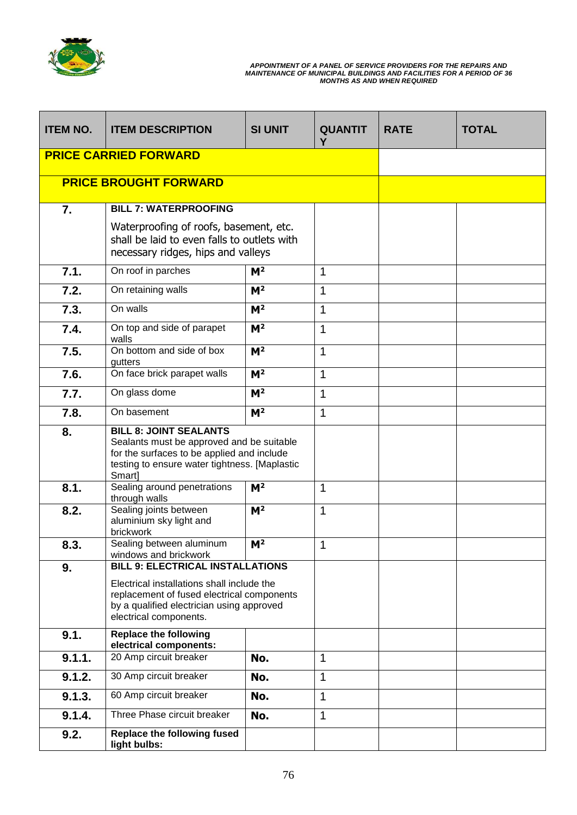

| <b>ITEM NO.</b> | <b>ITEM DESCRIPTION</b>                                                                                                                                                                                    | <b>SI UNIT</b> | <b>QUANTIT</b><br>Y | <b>RATE</b> | <b>TOTAL</b> |
|-----------------|------------------------------------------------------------------------------------------------------------------------------------------------------------------------------------------------------------|----------------|---------------------|-------------|--------------|
|                 | <b>PRICE CARRIED FORWARD</b>                                                                                                                                                                               |                |                     |             |              |
|                 | <b>PRICE BROUGHT FORWARD</b>                                                                                                                                                                               |                |                     |             |              |
| 7.              | <b>BILL 7: WATERPROOFING</b><br>Waterproofing of roofs, basement, etc.<br>shall be laid to even falls to outlets with<br>necessary ridges, hips and valleys                                                |                |                     |             |              |
| 7.1.            | On roof in parches                                                                                                                                                                                         | M <sup>2</sup> | $\mathbf{1}$        |             |              |
| 7.2.            | On retaining walls                                                                                                                                                                                         | M <sup>2</sup> | 1                   |             |              |
| 7.3.            | On walls                                                                                                                                                                                                   | M <sup>2</sup> | 1                   |             |              |
| 7.4.            | On top and side of parapet<br>walls                                                                                                                                                                        | M <sup>2</sup> | 1                   |             |              |
| 7.5.            | On bottom and side of box<br>gutters                                                                                                                                                                       | M <sup>2</sup> | 1                   |             |              |
| 7.6.            | On face brick parapet walls                                                                                                                                                                                | M <sup>2</sup> | $\mathbf 1$         |             |              |
| 7.7.            | On glass dome                                                                                                                                                                                              | M <sup>2</sup> | $\mathbf 1$         |             |              |
| 7.8.            | On basement                                                                                                                                                                                                | M <sup>2</sup> | $\mathbf{1}$        |             |              |
| 8.              | <b>BILL 8: JOINT SEALANTS</b><br>Sealants must be approved and be suitable<br>for the surfaces to be applied and include<br>testing to ensure water tightness. [Maplastic<br>Smart]                        |                |                     |             |              |
| 8.1.            | Sealing around penetrations<br>through walls                                                                                                                                                               | M <sup>2</sup> | $\mathbf{1}$        |             |              |
| 8.2.            | Sealing joints between<br>aluminium sky light and<br>brickwork                                                                                                                                             | M <sup>2</sup> | $\mathbf{1}$        |             |              |
| 8.3.            | Sealing between aluminum<br>windows and brickwork                                                                                                                                                          | M <sup>2</sup> | $\mathbf{1}$        |             |              |
| 9.              | <b>BILL 9: ELECTRICAL INSTALLATIONS</b><br>Electrical installations shall include the<br>replacement of fused electrical components<br>by a qualified electrician using approved<br>electrical components. |                |                     |             |              |
| 9.1.            | <b>Replace the following</b><br>electrical components:                                                                                                                                                     |                |                     |             |              |
| 9.1.1.          | 20 Amp circuit breaker                                                                                                                                                                                     | No.            | 1                   |             |              |
| 9.1.2.          | 30 Amp circuit breaker                                                                                                                                                                                     | No.            | $\mathbf{1}$        |             |              |
| 9.1.3.          | 60 Amp circuit breaker                                                                                                                                                                                     | No.            | 1                   |             |              |
| 9.1.4.          | Three Phase circuit breaker                                                                                                                                                                                | No.            | 1                   |             |              |
| 9.2.            | <b>Replace the following fused</b><br>light bulbs:                                                                                                                                                         |                |                     |             |              |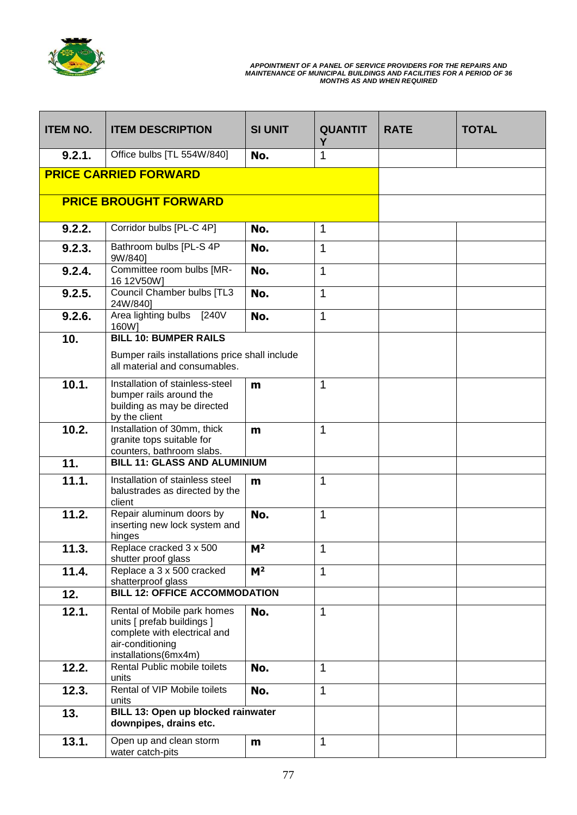

| <b>ITEM NO.</b> | <b>ITEM DESCRIPTION</b>                                                                                                               | <b>SI UNIT</b>   | <b>QUANTIT</b><br>Υ | <b>RATE</b> | <b>TOTAL</b> |
|-----------------|---------------------------------------------------------------------------------------------------------------------------------------|------------------|---------------------|-------------|--------------|
| 9.2.1.          | Office bulbs [TL 554W/840]                                                                                                            | No.              | 1                   |             |              |
|                 | <b>PRICE CARRIED FORWARD</b>                                                                                                          |                  |                     |             |              |
|                 | <b>PRICE BROUGHT FORWARD</b>                                                                                                          |                  |                     |             |              |
| 9.2.2.          | Corridor bulbs [PL-C 4P]                                                                                                              | No.              | 1                   |             |              |
| 9.2.3.          | Bathroom bulbs [PL-S 4P<br>9W/840]                                                                                                    | No.              | 1                   |             |              |
| 9.2.4.          | Committee room bulbs [MR-<br>16 12V50W]                                                                                               | No.              | 1                   |             |              |
| 9.2.5.          | Council Chamber bulbs [TL3<br>24W/840]                                                                                                | No.              | 1                   |             |              |
| 9.2.6.          | Area lighting bulbs<br>[240V]<br>160W]                                                                                                | No.              | 1                   |             |              |
| 10.             | <b>BILL 10: BUMPER RAILS</b>                                                                                                          |                  |                     |             |              |
|                 | Bumper rails installations price shall include<br>all material and consumables.                                                       |                  |                     |             |              |
| 10.1.           | Installation of stainless-steel<br>bumper rails around the<br>building as may be directed<br>by the client                            | m                | 1                   |             |              |
| 10.2.           | Installation of 30mm, thick<br>granite tops suitable for<br>counters, bathroom slabs.                                                 | m                | $\mathbf 1$         |             |              |
| 11.             | <b>BILL 11: GLASS AND ALUMINIUM</b>                                                                                                   |                  |                     |             |              |
| 11.1.           | Installation of stainless steel<br>balustrades as directed by the<br>client                                                           | m                | 1                   |             |              |
| 11.2.           | Repair aluminum doors by<br>inserting new lock system and<br>hinges                                                                   | No.              | 1                   |             |              |
| 11.3.           | Replace cracked 3 x 500<br>shutter proof glass                                                                                        | $\overline{M^2}$ | 1                   |             |              |
| 11.4.           | Replace a 3 x 500 cracked<br>shatterproof glass                                                                                       | M <sup>2</sup>   | 1                   |             |              |
| 12.             | <b>BILL 12: OFFICE ACCOMMODATION</b>                                                                                                  |                  |                     |             |              |
| 12.1.           | Rental of Mobile park homes<br>units [ prefab buildings ]<br>complete with electrical and<br>air-conditioning<br>installations(6mx4m) | No.              | 1                   |             |              |
| 12.2.           | Rental Public mobile toilets<br>units                                                                                                 | No.              | $\mathbf 1$         |             |              |
| 12.3.           | Rental of VIP Mobile toilets<br>units                                                                                                 | No.              | 1                   |             |              |
| 13.             | BILL 13: Open up blocked rainwater<br>downpipes, drains etc.                                                                          |                  |                     |             |              |
| 13.1.           | Open up and clean storm<br>water catch-pits                                                                                           | m                | $\mathbf{1}$        |             |              |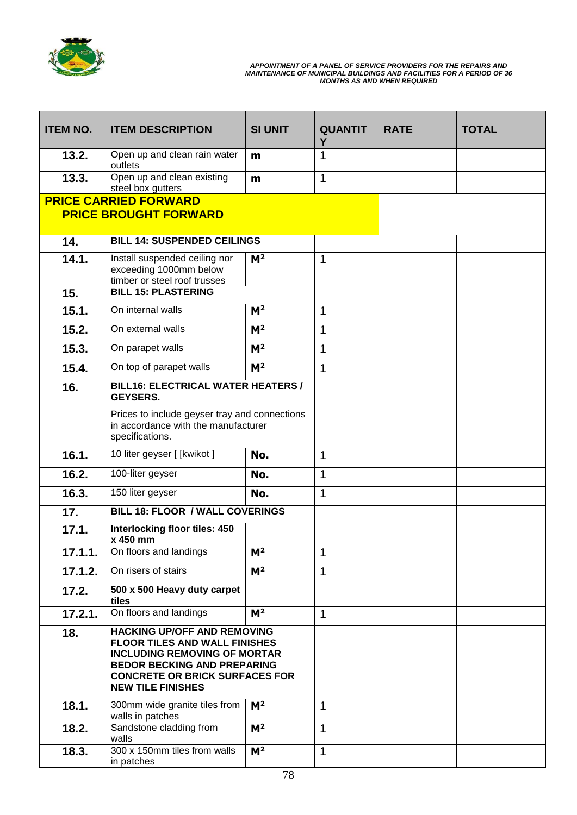

| <b>ITEM NO.</b> | <b>ITEM DESCRIPTION</b>                                                                                                                                                                                                      | <b>SI UNIT</b> | <b>QUANTIT</b><br>Υ | <b>RATE</b> | <b>TOTAL</b> |
|-----------------|------------------------------------------------------------------------------------------------------------------------------------------------------------------------------------------------------------------------------|----------------|---------------------|-------------|--------------|
| 13.2.           | Open up and clean rain water<br>outlets                                                                                                                                                                                      | m              | 1                   |             |              |
| 13.3.           | Open up and clean existing<br>steel box gutters                                                                                                                                                                              | m              | 1                   |             |              |
|                 | <b>PRICE CARRIED FORWARD</b>                                                                                                                                                                                                 |                |                     |             |              |
|                 | <b>PRICE BROUGHT FORWARD</b>                                                                                                                                                                                                 |                |                     |             |              |
| 14.             | <b>BILL 14: SUSPENDED CEILINGS</b>                                                                                                                                                                                           |                |                     |             |              |
| 14.1.           | Install suspended ceiling nor<br>exceeding 1000mm below<br>timber or steel roof trusses                                                                                                                                      | M <sup>2</sup> | 1                   |             |              |
| 15.             | <b>BILL 15: PLASTERING</b>                                                                                                                                                                                                   |                |                     |             |              |
| 15.1.           | On internal walls                                                                                                                                                                                                            | M <sup>2</sup> | 1                   |             |              |
| 15.2.           | On external walls                                                                                                                                                                                                            | M <sup>2</sup> | 1                   |             |              |
| 15.3.           | On parapet walls                                                                                                                                                                                                             | $M^2$          | 1                   |             |              |
| 15.4.           | On top of parapet walls                                                                                                                                                                                                      | M <sup>2</sup> | $\mathbf{1}$        |             |              |
| 16.             | <b>BILL16: ELECTRICAL WATER HEATERS /</b><br><b>GEYSERS.</b><br>Prices to include geyser tray and connections                                                                                                                |                |                     |             |              |
|                 | in accordance with the manufacturer<br>specifications.                                                                                                                                                                       |                |                     |             |              |
| 16.1.           | 10 liter geyser [[kwikot]                                                                                                                                                                                                    | No.            | $\mathbf 1$         |             |              |
| 16.2.           | 100-liter geyser                                                                                                                                                                                                             | No.            | 1                   |             |              |
| 16.3.           | 150 liter geyser                                                                                                                                                                                                             | No.            | 1                   |             |              |
| 17.             | <b>BILL 18: FLOOR / WALL COVERINGS</b>                                                                                                                                                                                       |                |                     |             |              |
| 17.1.           | Interlocking floor tiles: 450<br>x 450 mm                                                                                                                                                                                    |                |                     |             |              |
| 17.1.1.         | On floors and landings                                                                                                                                                                                                       | M <sup>2</sup> | 1                   |             |              |
| 17.1.2.         | On risers of stairs                                                                                                                                                                                                          | M <sup>2</sup> | 1                   |             |              |
| 17.2.           | 500 x 500 Heavy duty carpet<br>tiles                                                                                                                                                                                         |                |                     |             |              |
| 17.2.1.         | On floors and landings                                                                                                                                                                                                       | M <sup>2</sup> | 1                   |             |              |
| 18.             | <b>HACKING UP/OFF AND REMOVING</b><br><b>FLOOR TILES AND WALL FINISHES</b><br><b>INCLUDING REMOVING OF MORTAR</b><br><b>BEDOR BECKING AND PREPARING</b><br><b>CONCRETE OR BRICK SURFACES FOR</b><br><b>NEW TILE FINISHES</b> |                |                     |             |              |
| 18.1.           | 300mm wide granite tiles from<br>walls in patches                                                                                                                                                                            | M <sup>2</sup> | 1                   |             |              |
| 18.2.           | Sandstone cladding from<br>walls                                                                                                                                                                                             | M <sup>2</sup> | 1                   |             |              |
| 18.3.           | 300 x 150mm tiles from walls<br>in patches                                                                                                                                                                                   | M <sup>2</sup> | 1                   |             |              |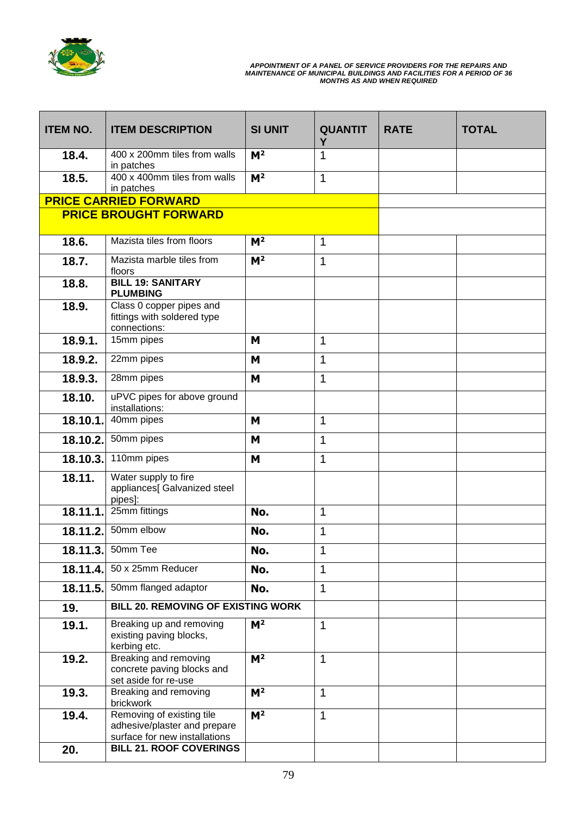

| <b>ITEM NO.</b> | <b>ITEM DESCRIPTION</b>                                                                    | <b>SI UNIT</b> | <b>QUANTIT</b><br>Υ | <b>RATE</b> | <b>TOTAL</b> |
|-----------------|--------------------------------------------------------------------------------------------|----------------|---------------------|-------------|--------------|
| 18.4.           | 400 x 200mm tiles from walls<br>in patches                                                 | M <sup>2</sup> | 1                   |             |              |
| 18.5.           | 400 x 400mm tiles from walls<br>in patches                                                 | M <sup>2</sup> | 1                   |             |              |
|                 | <b>PRICE CARRIED FORWARD</b>                                                               |                |                     |             |              |
|                 | <b>PRICE BROUGHT FORWARD</b>                                                               |                |                     |             |              |
| 18.6.           | Mazista tiles from floors                                                                  | M <sup>2</sup> | $\mathbf 1$         |             |              |
| 18.7.           | Mazista marble tiles from<br>floors                                                        | M <sup>2</sup> | 1                   |             |              |
| 18.8.           | <b>BILL 19: SANITARY</b><br><b>PLUMBING</b>                                                |                |                     |             |              |
| 18.9.           | Class 0 copper pipes and<br>fittings with soldered type<br>connections:                    |                |                     |             |              |
| 18.9.1.         | 15mm pipes                                                                                 | M              | 1                   |             |              |
| 18.9.2.         | 22mm pipes                                                                                 | M              | 1                   |             |              |
| 18.9.3.         | 28mm pipes                                                                                 | M              | 1                   |             |              |
| 18.10.          | uPVC pipes for above ground<br>installations:                                              |                |                     |             |              |
| 18.10.1.        | 40mm pipes                                                                                 | M              | 1                   |             |              |
| 18.10.2.        | 50mm pipes                                                                                 | M              | 1                   |             |              |
| 18.10.3         | 110mm pipes                                                                                | M              | $\mathbf{1}$        |             |              |
| 18.11.          | Water supply to fire<br>appliances[ Galvanized steel<br>pipes]:                            |                |                     |             |              |
| 18.11.1.        | 25mm fittings                                                                              | No.            | 1                   |             |              |
| 18.11.2.        | 50mm elbow                                                                                 | No.            | 1                   |             |              |
| 18.11.3.        | 50mm Tee                                                                                   | No.            | 1                   |             |              |
| 18.11.4.        | 50 x 25mm Reducer                                                                          | No.            | 1                   |             |              |
| 18.11.5.        | 50mm flanged adaptor                                                                       | No.            | 1                   |             |              |
| 19.             | <b>BILL 20. REMOVING OF EXISTING WORK</b>                                                  |                |                     |             |              |
| 19.1.           | Breaking up and removing<br>existing paving blocks,<br>kerbing etc.                        | M <sup>2</sup> | $\mathbf 1$         |             |              |
| 19.2.           | Breaking and removing<br>concrete paving blocks and<br>set aside for re-use                | M <sup>2</sup> | 1                   |             |              |
| 19.3.           | Breaking and removing<br>brickwork                                                         | M <sup>2</sup> | $\mathbf{1}$        |             |              |
| 19.4.           | Removing of existing tile<br>adhesive/plaster and prepare<br>surface for new installations | M <sup>2</sup> | $\mathbf{1}$        |             |              |
| 20.             | <b>BILL 21. ROOF COVERINGS</b>                                                             |                |                     |             |              |